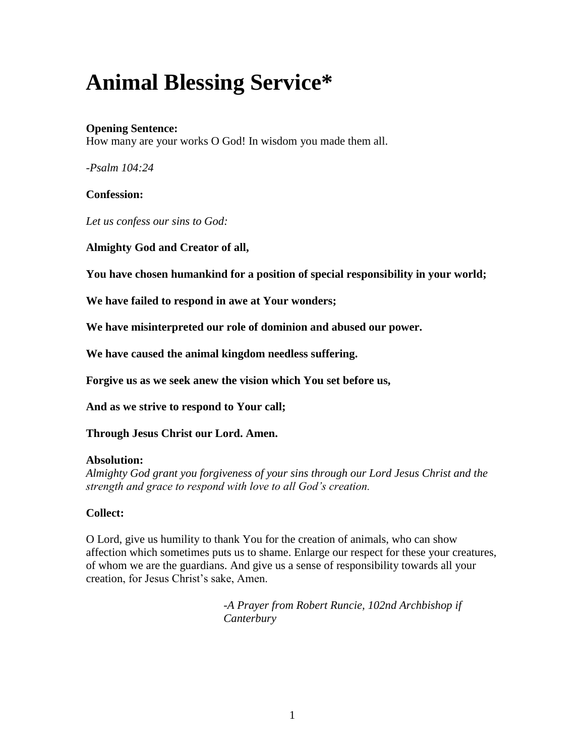# **Animal Blessing Service\***

# **Opening Sentence:**

How many are your works O God! In wisdom you made them all.

*-Psalm 104:24*

# **Confession:**

*Let us confess our sins to God:*

**Almighty God and Creator of all,**

**You have chosen humankind for a position of special responsibility in your world;**

**We have failed to respond in awe at Your wonders;**

**We have misinterpreted our role of dominion and abused our power.**

**We have caused the animal kingdom needless suffering.**

**Forgive us as we seek anew the vision which You set before us,**

**And as we strive to respond to Your call;**

**Through Jesus Christ our Lord. Amen.**

## **Absolution:**

*Almighty God grant you forgiveness of your sins through our Lord Jesus Christ and the strength and grace to respond with love to all God's creation.*

# **Collect:**

O Lord, give us humility to thank You for the creation of animals, who can show affection which sometimes puts us to shame. Enlarge our respect for these your creatures, of whom we are the guardians. And give us a sense of responsibility towards all your creation, for Jesus Christ's sake, Amen.

> *-A Prayer from Robert Runcie, 102nd Archbishop if Canterbury*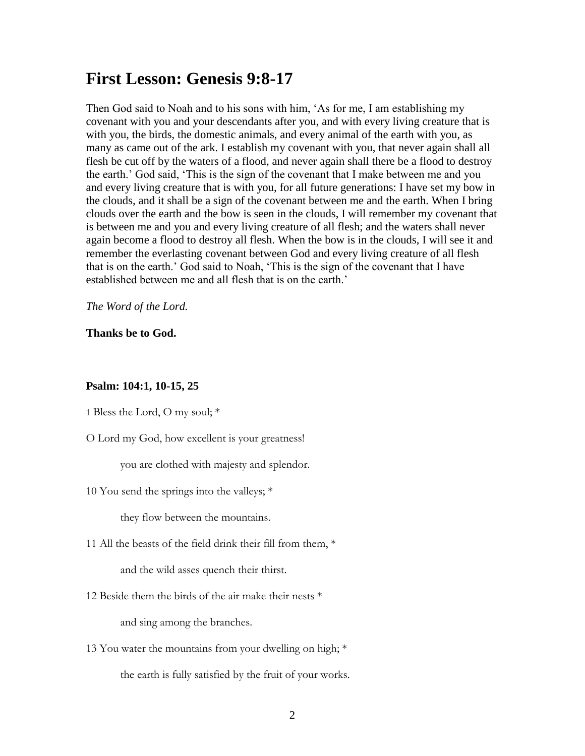# **First Lesson: Genesis 9:8-17**

Then God said to Noah and to his sons with him, 'As for me, I am establishing my covenant with you and your descendants after you, and with every living creature that is with you, the birds, the domestic animals, and every animal of the earth with you, as many as came out of the ark. I establish my covenant with you, that never again shall all flesh be cut off by the waters of a flood, and never again shall there be a flood to destroy the earth.' God said, 'This is the sign of the covenant that I make between me and you and every living creature that is with you, for all future generations: I have set my bow in the clouds, and it shall be a sign of the covenant between me and the earth. When I bring clouds over the earth and the bow is seen in the clouds, I will remember my covenant that is between me and you and every living creature of all flesh; and the waters shall never again become a flood to destroy all flesh. When the bow is in the clouds, I will see it and remember the everlasting covenant between God and every living creature of all flesh that is on the earth.' God said to Noah, 'This is the sign of the covenant that I have established between me and all flesh that is on the earth.'

*The Word of the Lord.*

**Thanks be to God.**

#### **Psalm: 104:1, 10-15, 25**

1 Bless the Lord, O my soul; \*

O Lord my God, how excellent is your greatness!

you are clothed with majesty and splendor.

10 You send the springs into the valleys; \*

they flow between the mountains.

11 All the beasts of the field drink their fill from them, \*

and the wild asses quench their thirst.

12 Beside them the birds of the air make their nests  $*$ 

and sing among the branches.

13 You water the mountains from your dwelling on high; \* the earth is fully satisfied by the fruit of your works.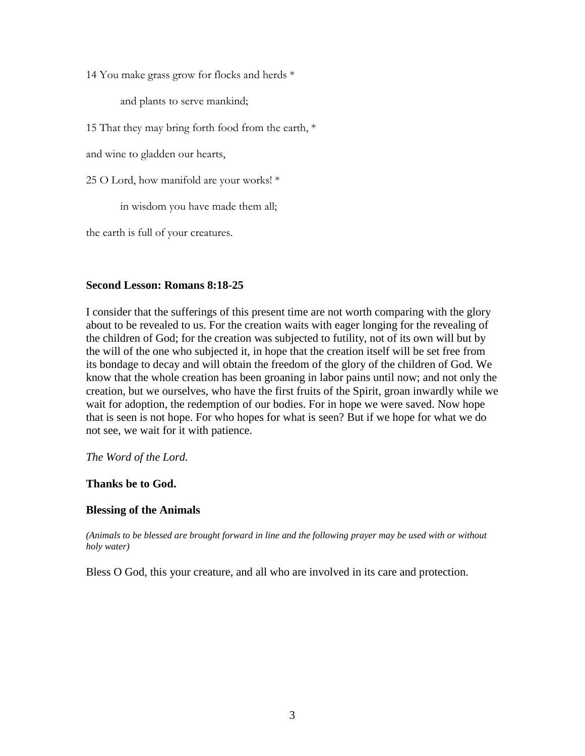14 You make grass grow for flocks and herds \*

and plants to serve mankind;

15 That they may bring forth food from the earth, \*

and wine to gladden our hearts,

25 O Lord, how manifold are your works! \*

in wisdom you have made them all;

the earth is full of your creatures.

## **Second Lesson: Romans 8:18-25**

I consider that the sufferings of this present time are not worth comparing with the glory about to be revealed to us. For the creation waits with eager longing for the revealing of the children of God; for the creation was subjected to futility, not of its own will but by the will of the one who subjected it, in hope that the creation itself will be set free from its bondage to decay and will obtain the freedom of the glory of the children of God. We know that the whole creation has been groaning in labor pains until now; and not only the creation, but we ourselves, who have the first fruits of the Spirit, groan inwardly while we wait for adoption, the redemption of our bodies. For in hope we were saved. Now hope that is seen is not hope. For who hopes for what is seen? But if we hope for what we do not see, we wait for it with patience.

*The Word of the Lord.*

#### **Thanks be to God.**

#### **Blessing of the Animals**

*(Animals to be blessed are brought forward in line and the following prayer may be used with or without holy water)*

Bless O God, this your creature, and all who are involved in its care and protection.